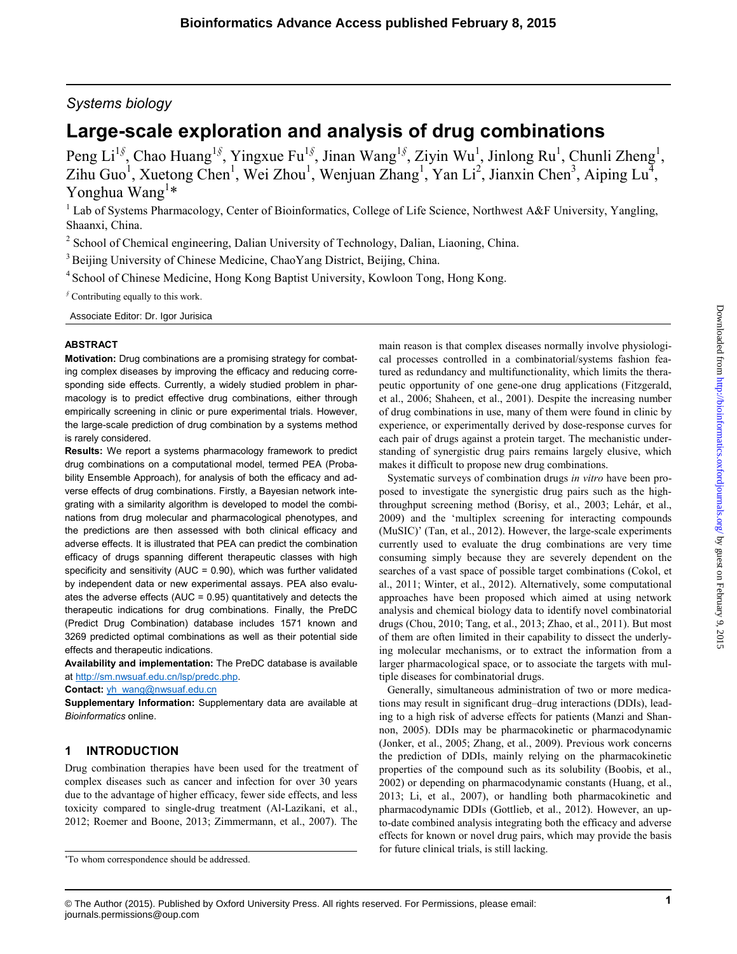## *Systems biology*

# **Large-scale exploration and analysis of drug combinations**

Peng Li<sup>1§</sup>, Chao Huang<sup>1§</sup>, Yingxue Fu<sup>1§</sup>, Jinan Wang<sup>1§</sup>, Ziyin Wu<sup>1</sup>, Jinlong Ru<sup>1</sup>, Chunli Zheng<sup>1</sup>, Zihu Guo<sup>1</sup>, Xuetong Chen<sup>1</sup>, Wei Zhou<sup>1</sup>, Wenjuan Zhang<sup>1</sup>, Yan Li<sup>2</sup>, Jianxin Chen<sup>3</sup>, Aiping Lu<sup>4</sup>, Yonghua Wang<sup>1\*</sup>

<sup>1</sup> Lab of Systems Pharmacology, Center of Bioinformatics, College of Life Science, Northwest A&F University, Yangling, Shaanxi, China.

<sup>2</sup> School of Chemical engineering, Dalian University of Technology, Dalian, Liaoning, China.

<sup>3</sup> Beijing University of Chinese Medicine, ChaoYang District, Beijing, China.

<sup>4</sup> School of Chinese Medicine, Hong Kong Baptist University, Kowloon Tong, Hong Kong.

*§* Contributing equally to this work.

Associate Editor: Dr. Igor Jurisica

### **ABSTRACT**

**Motivation:** Drug combinations are a promising strategy for combating complex diseases by improving the efficacy and reducing corresponding side effects. Currently, a widely studied problem in pharmacology is to predict effective drug combinations, either through empirically screening in clinic or pure experimental trials. However, the large-scale prediction of drug combination by a systems method is rarely considered.

**Results:** We report a systems pharmacology framework to predict drug combinations on a computational model, termed PEA (Probability Ensemble Approach), for analysis of both the efficacy and adverse effects of drug combinations. Firstly, a Bayesian network integrating with a similarity algorithm is developed to model the combinations from drug molecular and pharmacological phenotypes, and the predictions are then assessed with both clinical efficacy and adverse effects. It is illustrated that PEA can predict the combination efficacy of drugs spanning different therapeutic classes with high specificity and sensitivity (AUC = 0.90), which was further validated by independent data or new experimental assays. PEA also evaluates the adverse effects (AUC = 0.95) quantitatively and detects the therapeutic indications for drug combinations. Finally, the PreDC (Predict Drug Combination) database includes 1571 known and 3269 predicted optimal combinations as well as their potential side effects and therapeutic indications.

**Availability and implementation:** The PreDC database is available at http://sm.nwsuaf.edu.cn/lsp/predc.php.

**Contact:** yh\_wang@nwsuaf.edu.cn

**Supplementary Information:** Supplementary data are available at *Bioinformatics* online.

## **1 INTRODUCTION**

Drug combination therapies have been used for the treatment of complex diseases such as cancer and infection for over 30 years due to the advantage of higher efficacy, fewer side effects, and less toxicity compared to single-drug treatment (Al-Lazikani, et al., 2012; Roemer and Boone, 2013; Zimmermann, et al., 2007). The

main reason is that complex diseases normally involve physiological processes controlled in a combinatorial/systems fashion featured as redundancy and multifunctionality, which limits the therapeutic opportunity of one gene-one drug applications (Fitzgerald, et al., 2006; Shaheen, et al., 2001). Despite the increasing number of drug combinations in use, many of them were found in clinic by experience, or experimentally derived by dose-response curves for each pair of drugs against a protein target. The mechanistic understanding of synergistic drug pairs remains largely elusive, which makes it difficult to propose new drug combinations.

Systematic surveys of combination drugs *in vitro* have been proposed to investigate the synergistic drug pairs such as the highthroughput screening method (Borisy, et al., 2003; Lehár, et al., 2009) and the 'multiplex screening for interacting compounds (MuSIC)' (Tan, et al., 2012). However, the large-scale experiments currently used to evaluate the drug combinations are very time consuming simply because they are severely dependent on the searches of a vast space of possible target combinations (Cokol, et al., 2011; Winter, et al., 2012). Alternatively, some computational approaches have been proposed which aimed at using network analysis and chemical biology data to identify novel combinatorial drugs (Chou, 2010; Tang, et al., 2013; Zhao, et al., 2011). But most of them are often limited in their capability to dissect the underlying molecular mechanisms, or to extract the information from a larger pharmacological space, or to associate the targets with multiple diseases for combinatorial drugs.

Generally, simultaneous administration of two or more medications may result in significant drug–drug interactions (DDIs), leading to a high risk of adverse effects for patients (Manzi and Shannon, 2005). DDIs may be pharmacokinetic or pharmacodynamic (Jonker, et al., 2005; Zhang, et al., 2009). Previous work concerns the prediction of DDIs, mainly relying on the pharmacokinetic properties of the compound such as its solubility (Boobis, et al., 2002) or depending on pharmacodynamic constants (Huang, et al., 2013; Li, et al., 2007), or handling both pharmacokinetic and pharmacodynamic DDIs (Gottlieb, et al., 2012). However, an upto-date combined analysis integrating both the efficacy and adverse effects for known or novel drug pairs, which may provide the basis for future clinical trials, is still lacking.

<sup>\*</sup>To whom correspondence should be addressed.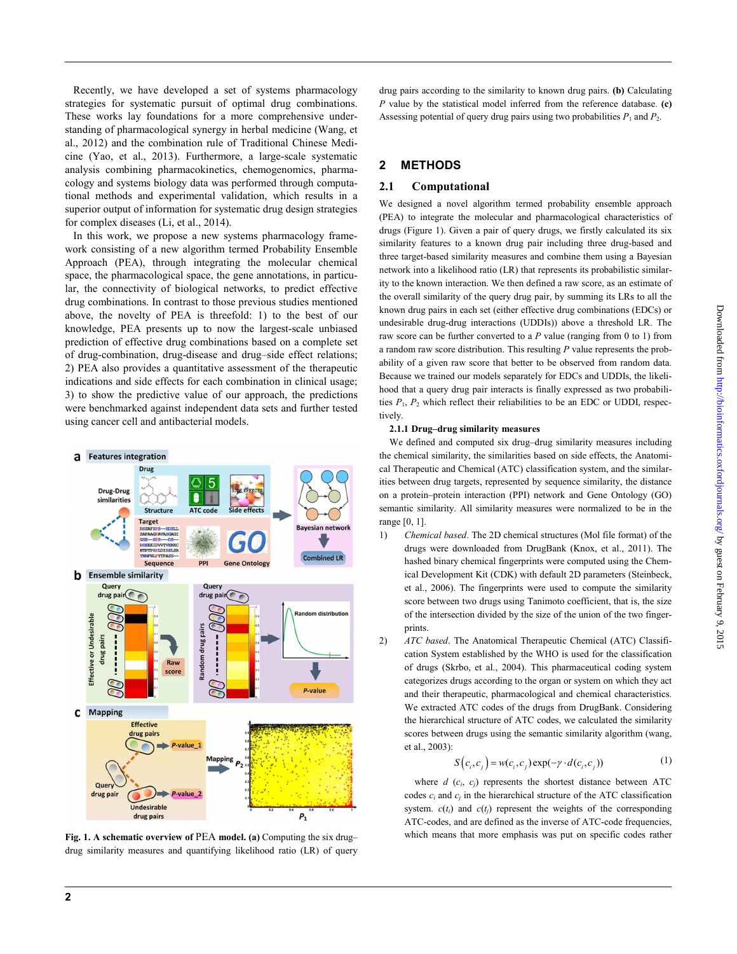Recently, we have developed a set of systems pharmacology strategies for systematic pursuit of optimal drug combinations. These works lay foundations for a more comprehensive understanding of pharmacological synergy in herbal medicine (Wang, et al., 2012) and the combination rule of Traditional Chinese Medicine (Yao, et al., 2013). Furthermore, a large-scale systematic analysis combining pharmacokinetics, chemogenomics, pharmacology and systems biology data was performed through computational methods and experimental validation, which results in a superior output of information for systematic drug design strategies for complex diseases (Li, et al., 2014).

In this work, we propose a new systems pharmacology framework consisting of a new algorithm termed Probability Ensemble Approach (PEA), through integrating the molecular chemical space, the pharmacological space, the gene annotations, in particular, the connectivity of biological networks, to predict effective drug combinations. In contrast to those previous studies mentioned above, the novelty of PEA is threefold: 1) to the best of our knowledge, PEA presents up to now the largest-scale unbiased prediction of effective drug combinations based on a complete set of drug-combination, drug-disease and drug–side effect relations; 2) PEA also provides a quantitative assessment of the therapeutic indications and side effects for each combination in clinical usage; 3) to show the predictive value of our approach, the predictions were benchmarked against independent data sets and further tested using cancer cell and antibacterial models.



**Fig. 1. A schematic overview of** PEA **model. (a)** Computing the six drug– drug similarity measures and quantifying likelihood ratio (LR) of query

drug pairs according to the similarity to known drug pairs. **(b)** Calculating *P* value by the statistical model inferred from the reference database. **(c)**  Assessing potential of query drug pairs using two probabilities *P*1 and *P*2.

## **2 METHODS**

#### **2.1 Computational**

We designed a novel algorithm termed probability ensemble approach (PEA) to integrate the molecular and pharmacological characteristics of drugs (Figure 1). Given a pair of query drugs, we firstly calculated its six similarity features to a known drug pair including three drug-based and three target-based similarity measures and combine them using a Bayesian network into a likelihood ratio (LR) that represents its probabilistic similarity to the known interaction. We then defined a raw score, as an estimate of the overall similarity of the query drug pair, by summing its LRs to all the known drug pairs in each set (either effective drug combinations (EDCs) or undesirable drug-drug interactions (UDDIs)) above a threshold LR. The raw score can be further converted to a *P* value (ranging from 0 to 1) from a random raw score distribution. This resulting *P* value represents the probability of a given raw score that better to be observed from random data. Because we trained our models separately for EDCs and UDDIs, the likelihood that a query drug pair interacts is finally expressed as two probabilities  $P_1$ ,  $P_2$  which reflect their reliabilities to be an EDC or UDDI, respectively.

#### **2.1.1 Drug–drug similarity measures**

We defined and computed six drug–drug similarity measures including the chemical similarity, the similarities based on side effects, the Anatomical Therapeutic and Chemical (ATC) classification system, and the similarities between drug targets, represented by sequence similarity, the distance on a protein–protein interaction (PPI) network and Gene Ontology (GO) semantic similarity. All similarity measures were normalized to be in the range [0, 1].

- 1) *Chemical based*. The 2D chemical structures (Mol file format) of the drugs were downloaded from DrugBank (Knox, et al., 2011). The hashed binary chemical fingerprints were computed using the Chemical Development Kit (CDK) with default 2D parameters (Steinbeck, et al., 2006). The fingerprints were used to compute the similarity score between two drugs using Tanimoto coefficient, that is, the size of the intersection divided by the size of the union of the two fingerprints.
- 2) *ATC based*. The Anatomical Therapeutic Chemical (ATC) Classification System established by the WHO is used for the classification of drugs (Skrbo, et al., 2004). This pharmaceutical coding system categorizes drugs according to the organ or system on which they act and their therapeutic, pharmacological and chemical characteristics. We extracted ATC codes of the drugs from DrugBank. Considering the hierarchical structure of ATC codes, we calculated the similarity scores between drugs using the semantic similarity algorithm (wang, et al., 2003):

$$
S(c_i, c_j) = w(c_i, c_j) \exp(-\gamma \cdot d(c_i, c_j))
$$
 (1)

where  $d$  ( $c_i$ ,  $c_j$ ) represents the shortest distance between ATC codes  $c_i$  and  $c_j$  in the hierarchical structure of the ATC classification system.  $c(t_i)$  and  $c(t_j)$  represent the weights of the corresponding ATC-codes, and are defined as the inverse of ATC-code frequencies, which means that more emphasis was put on specific codes rather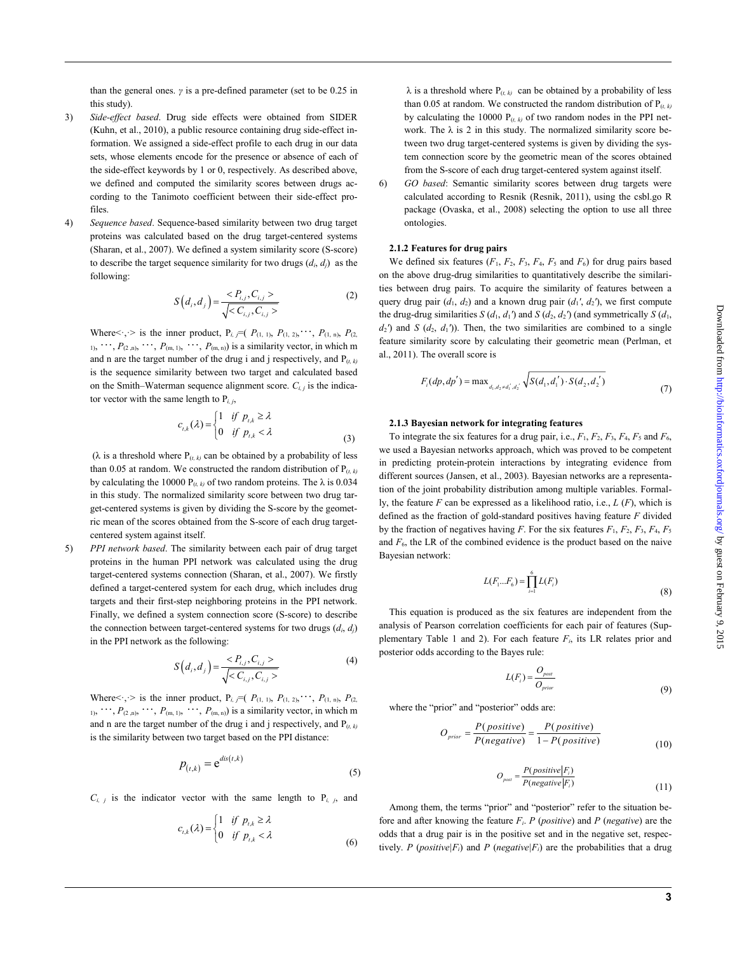than the general ones.  $\gamma$  is a pre-defined parameter (set to be 0.25 in this study).

- 3) *Side-effect based*. Drug side effects were obtained from SIDER (Kuhn, et al., 2010), a public resource containing drug side-effect information. We assigned a side-effect profile to each drug in our data sets, whose elements encode for the presence or absence of each of the side-effect keywords by 1 or 0, respectively. As described above, we defined and computed the similarity scores between drugs according to the Tanimoto coefficient between their side-effect profiles.
- 4) *Sequence based*. Sequence-based similarity between two drug target proteins was calculated based on the drug target-centered systems (Sharan, et al., 2007). We defined a system similarity score (S-score) to describe the target sequence similarity for two drugs  $(d_i, d_j)$  as the following:

$$
S(d_i, d_j) = \frac{P_{i,j}, C_{i,j} >}{\sqrt{C_{i,j}, C_{i,j}}}
$$
 (2)

Where  $\leq$   $\cdot$   $\geq$  is the inner product,  $P_{i,j}=(P_{(1, 1)}, P_{(1, 2)}, \cdots, P_{(1, n)}, P_{(2, n)})$  $P_1$ ,  $\cdots$ ,  $P_{(2,n)}$ ,  $\cdots$ ,  $P_{(m,1)}$ ,  $\cdots$ ,  $P_{(m,n)}$ ) is a similarity vector, in which m and n are the target number of the drug i and j respectively, and  $P_{(t, k)}$ is the sequence similarity between two target and calculated based on the Smith–Waterman sequence alignment score.  $C_{i,j}$  is the indicator vector with the same length to  $P_{i,j}$ ,

$$
c_{i,k}(\lambda) = \begin{cases} 1 & \text{if } p_{i,k} \ge \lambda \\ 0 & \text{if } p_{i,k} < \lambda \end{cases}
$$
 (3)

( $\lambda$  is a threshold where  $P_{(t, k)}$  can be obtained by a probability of less than 0.05 at random. We constructed the random distribution of  $P_{(t, k)}$ by calculating the 10000  $P_{(t, k)}$  of two random proteins. The  $\lambda$  is 0.034 in this study. The normalized similarity score between two drug target-centered systems is given by dividing the S-score by the geometric mean of the scores obtained from the S-score of each drug targetcentered system against itself.

5) *PPI network based*. The similarity between each pair of drug target proteins in the human PPI network was calculated using the drug target-centered systems connection (Sharan, et al., 2007). We firstly defined a target-centered system for each drug, which includes drug targets and their first-step neighboring proteins in the PPI network. Finally, we defined a system connection score (S-score) to describe the connection between target-centered systems for two drugs  $(d_i, d_j)$ in the PPI network as the following:

$$
S(d_i, d_j) = \frac{}{\sqrt{}}
$$
\n(4)

Where  $\leq$ ,  $>$  is the inner product,  $P_{i,j}=(P_{(1, 1)}, P_{(1, 2)}, \cdots, P_{(1, n)}, P_{(2, n)})$  $P_{(1)}$ ,  $\cdots$ ,  $P_{(2,n)}$ ,  $\cdots$ ,  $P_{(m,1)}$ ,  $\cdots$ ,  $P_{(m,n)}$ ) is a similarity vector, in which m and n are the target number of the drug i and j respectively, and  $P_{(t, k)}$ is the similarity between two target based on the PPI distance:

$$
p_{(t,k)} = e^{dis(t,k)}
$$
\n(5)

 $C_{i,j}$  is the indicator vector with the same length to  $P_{i,j}$ , and

$$
c_{i,k}(\lambda) = \begin{cases} 1 & \text{if } p_{i,k} \ge \lambda \\ 0 & \text{if } p_{i,k} < \lambda \end{cases}
$$
 (6)

 $\lambda$  is a threshold where  $P_{(t, k)}$  can be obtained by a probability of less than 0.05 at random. We constructed the random distribution of  $P_{(t, k)}$ by calculating the 10000  $P_{(t, k)}$  of two random nodes in the PPI network. The  $\lambda$  is 2 in this study. The normalized similarity score between two drug target-centered systems is given by dividing the system connection score by the geometric mean of the scores obtained from the S-score of each drug target-centered system against itself.

6) *GO based*: Semantic similarity scores between drug targets were calculated according to Resnik (Resnik, 2011), using the csbl.go R package (Ovaska, et al., 2008) selecting the option to use all three ontologies.

#### **2.1.2 Features for drug pairs**

We defined six features  $(F_1, F_2, F_3, F_4, F_5 \text{ and } F_6)$  for drug pairs based on the above drug-drug similarities to quantitatively describe the similarities between drug pairs. To acquire the similarity of features between a query drug pair  $(d_1, d_2)$  and a known drug pair  $(d_1, d_2)$ , we first compute the drug-drug similarities  $S(d_1, d_1)$  and  $S(d_2, d_2)$  (and symmetrically  $S(d_1, d_1)$ )  $d_2$ <sup>'</sup>) and *S* ( $d_2$ ,  $d_1$ <sup>'</sup>)). Then, the two similarities are combined to a single feature similarity score by calculating their geometric mean (Perlman, et al., 2011). The overall score is

$$
F_i(dp, dp') = \max_{d_1, d_2 \neq d'_1, d'_2} \sqrt{S(d_1, d'_1) \cdot S(d_2, d'_2)}
$$
\n<sup>(7)</sup>

#### **2.1.3 Bayesian network for integrating features**

To integrate the six features for a drug pair, i.e.,  $F_1$ ,  $F_2$ ,  $F_3$ ,  $F_4$ ,  $F_5$  and  $F_6$ , we used a Bayesian networks approach, which was proved to be competent in predicting protein-protein interactions by integrating evidence from different sources (Jansen, et al., 2003). Bayesian networks are a representation of the joint probability distribution among multiple variables. Formally, the feature *F* can be expressed as a likelihood ratio, i.e., *L* (*F*), which is defined as the fraction of gold-standard positives having feature *F* divided by the fraction of negatives having  $F$ . For the six features  $F_1$ ,  $F_2$ ,  $F_3$ ,  $F_4$ ,  $F_5$ and  $F_6$ , the LR of the combined evidence is the product based on the naive Bayesian network:

$$
L(F_1...F_6) = \prod_{i=1}^{6} L(F_i)
$$
\n(8)

This equation is produced as the six features are independent from the analysis of Pearson correlation coefficients for each pair of features (Supplementary Table 1 and 2). For each feature  $F_i$ , its LR relates prior and posterior odds according to the Bayes rule:

$$
L(F_i) = \frac{O_{post}}{O_{prior}}\tag{9}
$$

where the "prior" and "posterior" odds are:

$$
O_{prior} = \frac{P(positive)}{P(negative)} = \frac{P(positive)}{1 - P(positive)}
$$
\n(10)

$$
O_{\text{post}} = \frac{P(\text{positive} | F_i)}{P(\text{negative} | F_i)}
$$
\n(11)

Among them, the terms "prior" and "posterior" refer to the situation before and after knowing the feature *Fi*. *P* (*positive*) and *P* (*negative*) are the odds that a drug pair is in the positive set and in the negative set, respectively. *P* (*positive* $|F_i$ ) and *P* (*negative* $|F_i$ ) are the probabilities that a drug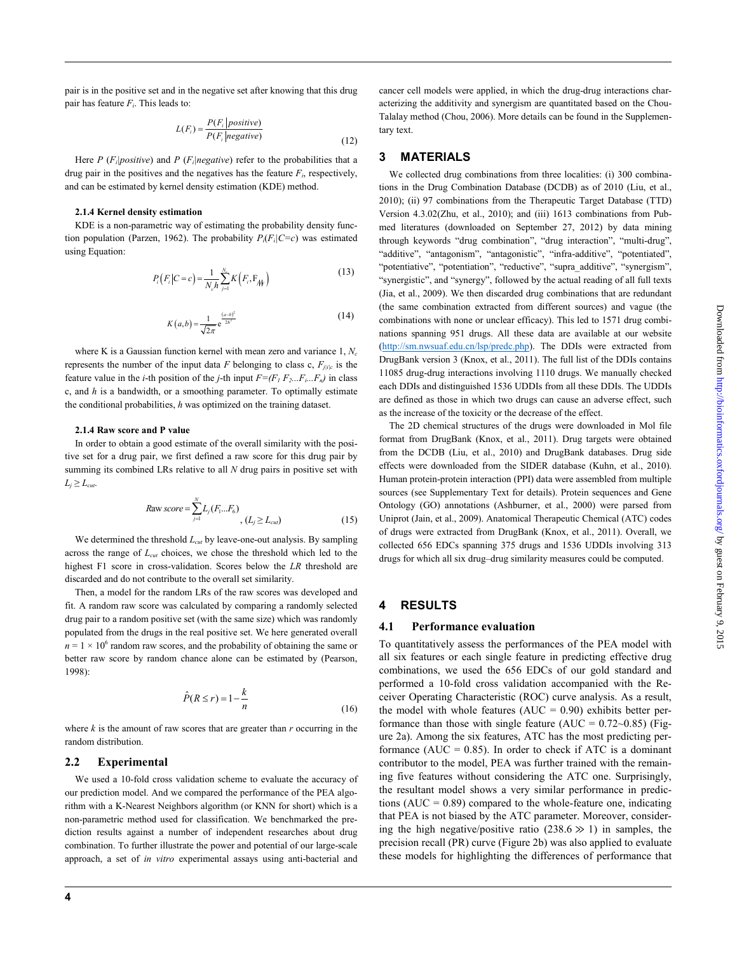pair is in the positive set and in the negative set after knowing that this drug pair has feature *Fi*. This leads to:

$$
L(F_i) = \frac{P(F_i|positive)}{P(F_i|negative)}
$$
\n(12)

Here *P* ( $F_i$ |*positive*) and *P* ( $F_i$ |*negative*) refer to the probabilities that a drug pair in the positives and the negatives has the feature *Fi*, respectively, and can be estimated by kernel density estimation (KDE) method.

#### **2.1.4 Kernel density estimation**

KDE is a non-parametric way of estimating the probability density function population (Parzen, 1962). The probability  $P_i(F_i|C=c)$  was estimated using Equation:

$$
P_i(F_i|C = c) = \frac{1}{N_c h} \sum_{j=1}^{N_c} K(F_i, F_{j|c})
$$
\n(13)

$$
K(a,b) = \frac{1}{\sqrt{2\pi}} e^{\frac{(a-b)^2}{2h^2}}
$$
 (14)

where K is a Gaussian function kernel with mean zero and variance 1, *N<sup>c</sup>* represents the number of the input data *F* belonging to class c,  $F_{j|i|c}$  is the feature value in the *i*-th position of the *j*-th input  $F=(F_1 F_2 \dots F_i \dots F_n)$  in class c, and *h* is a bandwidth, or a smoothing parameter. To optimally estimate the conditional probabilities, *h* was optimized on the training dataset.

#### **2.1.4 Raw score and P value**

In order to obtain a good estimate of the overall similarity with the positive set for a drug pair, we first defined a raw score for this drug pair by summing its combined LRs relative to all *N* drug pairs in positive set with  $L_i \geq L_{cut}$ .

$$
Raw score = \sum_{j=1}^{N} L_j(F_1...F_6),
$$
  
(*L<sub>j</sub>* \ge *L<sub>cut</sub>*) (15)

We determined the threshold *Lcut* by leave-one-out analysis. By sampling across the range of *Lcut* choices, we chose the threshold which led to the highest F1 score in cross-validation. Scores below the *LR* threshold are discarded and do not contribute to the overall set similarity.

Then, a model for the random LRs of the raw scores was developed and fit. A random raw score was calculated by comparing a randomly selected drug pair to a random positive set (with the same size) which was randomly populated from the drugs in the real positive set. We here generated overall  $n = 1 \times 10^6$  random raw scores, and the probability of obtaining the same or better raw score by random chance alone can be estimated by (Pearson, 1998):

$$
\hat{P}(R \le r) = 1 - \frac{k}{n} \tag{16}
$$

where  $k$  is the amount of raw scores that are greater than  $r$  occurring in the random distribution.

#### **2.2 Experimental**

We used a 10-fold cross validation scheme to evaluate the accuracy of our prediction model. And we compared the performance of the PEA algorithm with a K-Nearest Neighbors algorithm (or KNN for short) which is a non-parametric method used for classification. We benchmarked the prediction results against a number of independent researches about drug combination. To further illustrate the power and potential of our large-scale approach, a set of *in vitro* experimental assays using anti-bacterial and

#### **3 MATERIALS**

We collected drug combinations from three localities: (i) 300 combinations in the Drug Combination Database (DCDB) as of 2010 (Liu, et al., 2010); (ii) 97 combinations from the Therapeutic Target Database (TTD) Version 4.3.02(Zhu, et al., 2010); and (iii) 1613 combinations from Pubmed literatures (downloaded on September 27, 2012) by data mining through keywords "drug combination", "drug interaction", "multi-drug", "additive", "antagonism", "antagonistic", "infra-additive", "potentiated", "potentiative", "potentiation", "reductive", "supra\_additive", "synergism", "synergistic", and "synergy", followed by the actual reading of all full texts (Jia, et al., 2009). We then discarded drug combinations that are redundant (the same combination extracted from different sources) and vague (the combinations with none or unclear efficacy). This led to 1571 drug combinations spanning 951 drugs. All these data are available at our website (http://sm.nwsuaf.edu.cn/lsp/predc.php). The DDIs were extracted from DrugBank version 3 (Knox, et al., 2011). The full list of the DDIs contains 11085 drug-drug interactions involving 1110 drugs. We manually checked each DDIs and distinguished 1536 UDDIs from all these DDIs. The UDDIs are defined as those in which two drugs can cause an adverse effect, such as the increase of the toxicity or the decrease of the effect.

The 2D chemical structures of the drugs were downloaded in Mol file format from DrugBank (Knox, et al., 2011). Drug targets were obtained from the DCDB (Liu, et al., 2010) and DrugBank databases. Drug side effects were downloaded from the SIDER database (Kuhn, et al., 2010). Human protein-protein interaction (PPI) data were assembled from multiple sources (see Supplementary Text for details). Protein sequences and Gene Ontology (GO) annotations (Ashburner, et al., 2000) were parsed from Uniprot (Jain, et al., 2009). Anatomical Therapeutic Chemical (ATC) codes of drugs were extracted from DrugBank (Knox, et al., 2011). Overall, we collected 656 EDCs spanning 375 drugs and 1536 UDDIs involving 313 drugs for which all six drug–drug similarity measures could be computed.

#### **4 RESULTS**

#### **4.1 Performance evaluation**

To quantitatively assess the performances of the PEA model with all six features or each single feature in predicting effective drug combinations, we used the 656 EDCs of our gold standard and performed a 10-fold cross validation accompanied with the Receiver Operating Characteristic (ROC) curve analysis. As a result, the model with whole features  $(AUC = 0.90)$  exhibits better performance than those with single feature (AUC =  $0.72 \sim 0.85$ ) (Figure 2a). Among the six features, ATC has the most predicting performance ( $AUC = 0.85$ ). In order to check if ATC is a dominant contributor to the model, PEA was further trained with the remaining five features without considering the ATC one. Surprisingly, the resultant model shows a very similar performance in predictions  $(AUC = 0.89)$  compared to the whole-feature one, indicating that PEA is not biased by the ATC parameter. Moreover, considering the high negative/positive ratio  $(238.6 \gg 1)$  in samples, the precision recall (PR) curve (Figure 2b) was also applied to evaluate these models for highlighting the differences of performance that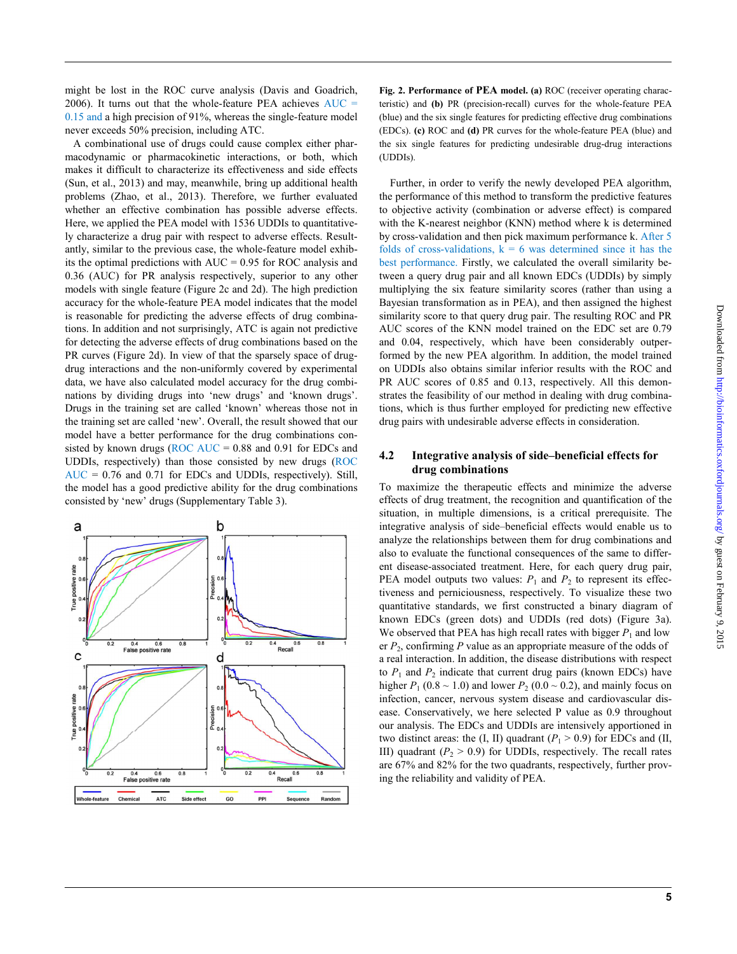might be lost in the ROC curve analysis (Davis and Goadrich, 2006). It turns out that the whole-feature PEA achieves  $AUC =$ 0.15 and a high precision of 91%, whereas the single-feature model never exceeds 50% precision, including ATC.

A combinational use of drugs could cause complex either pharmacodynamic or pharmacokinetic interactions, or both, which makes it difficult to characterize its effectiveness and side effects (Sun, et al., 2013) and may, meanwhile, bring up additional health problems (Zhao, et al., 2013). Therefore, we further evaluated whether an effective combination has possible adverse effects. Here, we applied the PEA model with 1536 UDDIs to quantitatively characterize a drug pair with respect to adverse effects. Resultantly, similar to the previous case, the whole-feature model exhibits the optimal predictions with  $AUC = 0.95$  for ROC analysis and 0.36 (AUC) for PR analysis respectively, superior to any other models with single feature (Figure 2c and 2d). The high prediction accuracy for the whole-feature PEA model indicates that the model is reasonable for predicting the adverse effects of drug combinations. In addition and not surprisingly, ATC is again not predictive for detecting the adverse effects of drug combinations based on the PR curves (Figure 2d). In view of that the sparsely space of drugdrug interactions and the non-uniformly covered by experimental data, we have also calculated model accuracy for the drug combinations by dividing drugs into 'new drugs' and 'known drugs'. Drugs in the training set are called 'known' whereas those not in the training set are called 'new'. Overall, the result showed that our model have a better performance for the drug combinations consisted by known drugs (ROC  $AUC = 0.88$  and 0.91 for EDCs and UDDIs, respectively) than those consisted by new drugs (ROC AUC = 0.76 and 0.71 for EDCs and UDDIs, respectively). Still, the model has a good predictive ability for the drug combinations consisted by 'new' drugs (Supplementary Table 3).



**Fig. 2. Performance of PEA model. (a)** ROC (receiver operating characteristic) and **(b)** PR (precision-recall) curves for the whole-feature PEA (blue) and the six single features for predicting effective drug combinations (EDCs). **(c)** ROC and **(d)** PR curves for the whole-feature PEA (blue) and the six single features for predicting undesirable drug-drug interactions (UDDIs).

Further, in order to verify the newly developed PEA algorithm, the performance of this method to transform the predictive features to objective activity (combination or adverse effect) is compared with the K-nearest neighbor (KNN) method where k is determined by cross-validation and then pick maximum performance k. After 5 folds of cross-validations,  $k = 6$  was determined since it has the best performance. Firstly, we calculated the overall similarity between a query drug pair and all known EDCs (UDDIs) by simply multiplying the six feature similarity scores (rather than using a Bayesian transformation as in PEA), and then assigned the highest similarity score to that query drug pair. The resulting ROC and PR AUC scores of the KNN model trained on the EDC set are 0.79 and 0.04, respectively, which have been considerably outperformed by the new PEA algorithm. In addition, the model trained on UDDIs also obtains similar inferior results with the ROC and PR AUC scores of 0.85 and 0.13, respectively. All this demonstrates the feasibility of our method in dealing with drug combinations, which is thus further employed for predicting new effective drug pairs with undesirable adverse effects in consideration.

## **4.2 Integrative analysis of side–beneficial effects for drug combinations**

To maximize the therapeutic effects and minimize the adverse effects of drug treatment, the recognition and quantification of the situation, in multiple dimensions, is a critical prerequisite. The integrative analysis of side–beneficial effects would enable us to analyze the relationships between them for drug combinations and also to evaluate the functional consequences of the same to different disease-associated treatment. Here, for each query drug pair, PEA model outputs two values:  $P_1$  and  $P_2$  to represent its effectiveness and perniciousness, respectively. To visualize these two quantitative standards, we first constructed a binary diagram of known EDCs (green dots) and UDDIs (red dots) (Figure 3a). We observed that PEA has high recall rates with bigger  $P_1$  and low er *P*<sup>2</sup> , confirming *P* value as an appropriate measure of the odds of a real interaction. In addition, the disease distributions with respect to  $P_1$  and  $P_2$  indicate that current drug pairs (known EDCs) have higher  $P_1$  (0.8 ~ 1.0) and lower  $P_2$  (0.0 ~ 0.2), and mainly focus on infection, cancer, nervous system disease and cardiovascular disease. Conservatively, we here selected P value as 0.9 throughout our analysis. The EDCs and UDDIs are intensively apportioned in two distinct areas: the  $(I, II)$  quadrant  $(P_1 > 0.9)$  for EDCs and  $(II, I)$ III) quadrant  $(P_2 > 0.9)$  for UDDIs, respectively. The recall rates are 67% and 82% for the two quadrants, respectively, further proving the reliability and validity of PEA.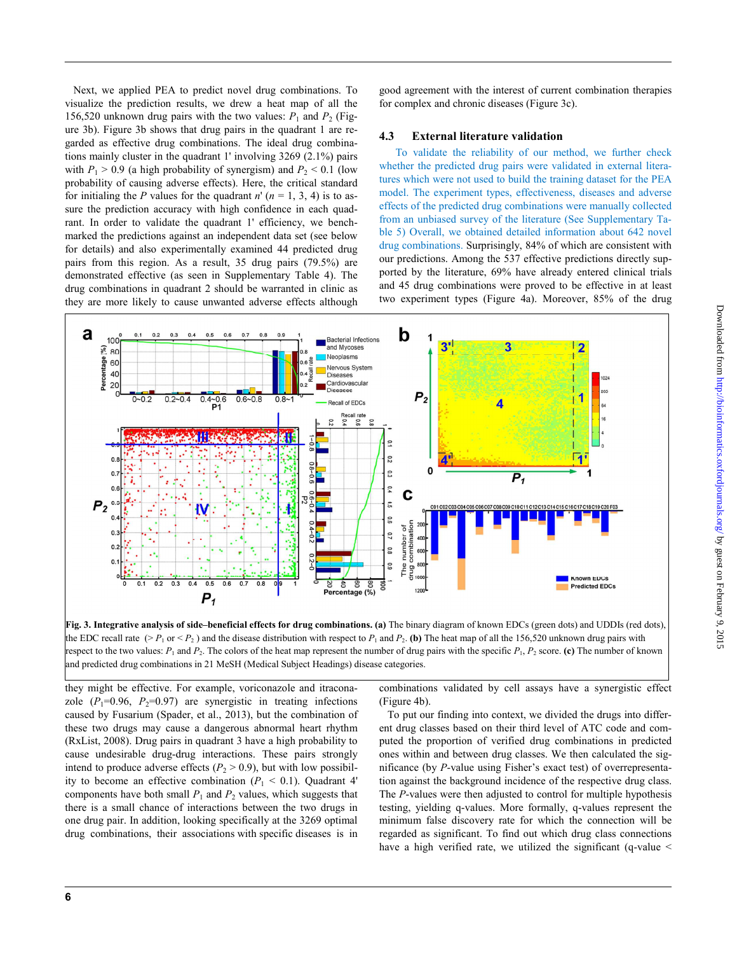Next, we applied PEA to predict novel drug combinations. To visualize the prediction results, we drew a heat map of all the 156,520 unknown drug pairs with the two values:  $P_1$  and  $P_2$  (Figure 3b). Figure 3b shows that drug pairs in the quadrant 1 are regarded as effective drug combinations. The ideal drug combinations mainly cluster in the quadrant 1' involving 3269 (2.1%) pairs with  $P_1 > 0.9$  (a high probability of synergism) and  $P_2 < 0.1$  (low probability of causing adverse effects). Here, the critical standard for initialing the *P* values for the quadrant  $n'$  ( $n = 1, 3, 4$ ) is to assure the prediction accuracy with high confidence in each quadrant. In order to validate the quadrant 1' efficiency, we benchmarked the predictions against an independent data set (see below for details) and also experimentally examined 44 predicted drug pairs from this region. As a result, 35 drug pairs (79.5%) are demonstrated effective (as seen in Supplementary Table 4). The drug combinations in quadrant 2 should be warranted in clinic as they are more likely to cause unwanted adverse effects although

good agreement with the interest of current combination therapies for complex and chronic diseases (Figure 3c).

## **4.3 External literature validation**

To validate the reliability of our method, we further check whether the predicted drug pairs were validated in external literatures which were not used to build the training dataset for the PEA model. The experiment types, effectiveness, diseases and adverse effects of the predicted drug combinations were manually collected from an unbiased survey of the literature (See Supplementary Table 5) Overall, we obtained detailed information about 642 novel drug combinations. Surprisingly, 84% of which are consistent with our predictions. Among the 537 effective predictions directly supported by the literature, 69% have already entered clinical trials and 45 drug combinations were proved to be effective in at least two experiment types (Figure 4a). Moreover, 85% of the drug



**Fig. 3. Integrative analysis of side–beneficial effects for drug combinations. (a)** The binary diagram of known EDCs (green dots) and UDDIs (red dots), the EDC recall rate ( $>P_1$  or  $\leq P_2$ ) and the disease distribution with respect to  $P_1$  and  $P_2$ . (b) The heat map of all the 156,520 unknown drug pairs with respect to the two values:  $P_1$  and  $P_2$ . The colors of the heat map represent the number of drug pairs with the specific  $P_1$ ,  $P_2$  score. (c) The number of known and predicted drug combinations in 21 MeSH (Medical Subject Headings) disease categories.

they might be effective. For example, voriconazole and itraconazole  $(P_1=0.96, P_2=0.97)$  are synergistic in treating infections caused by Fusarium (Spader, et al., 2013), but the combination of these two drugs may cause a dangerous abnormal heart rhythm (RxList, 2008). Drug pairs in quadrant 3 have a high probability to cause undesirable drug-drug interactions. These pairs strongly intend to produce adverse effects  $(P_2 > 0.9)$ , but with low possibility to become an effective combination  $(P_1 \leq 0.1)$ . Quadrant 4' components have both small  $P_1$  and  $P_2$  values, which suggests that there is a small chance of interactions between the two drugs in one drug pair. In addition, looking specifically at the 3269 optimal drug combinations, their associations with specific diseases is in

combinations validated by cell assays have a synergistic effect (Figure 4b).

To put our finding into context, we divided the drugs into different drug classes based on their third level of ATC code and computed the proportion of verified drug combinations in predicted ones within and between drug classes. We then calculated the significance (by *P*-value using Fisher's exact test) of overrepresentation against the background incidence of the respective drug class. The *P*-values were then adjusted to control for multiple hypothesis testing, yielding q-values. More formally, q-values represent the minimum false discovery rate for which the connection will be regarded as significant. To find out which drug class connections have a high verified rate, we utilized the significant (q-value <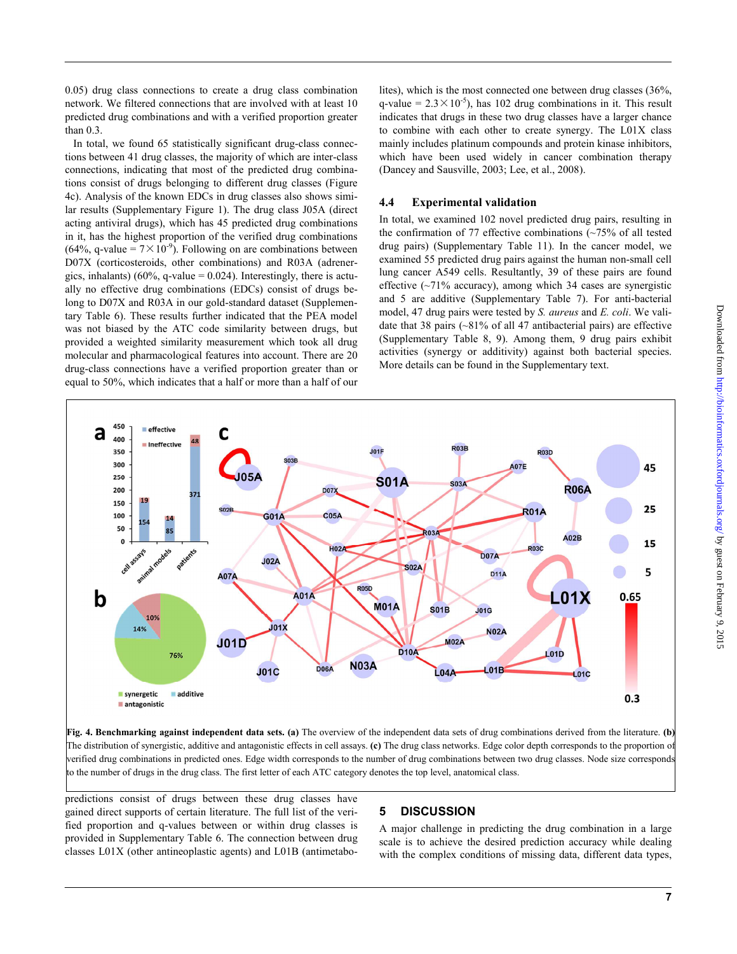0.05) drug class connections to create a drug class combination network. We filtered connections that are involved with at least 10 predicted drug combinations and with a verified proportion greater than 0.3.

In total, we found 65 statistically significant drug-class connections between 41 drug classes, the majority of which are inter-class connections, indicating that most of the predicted drug combinations consist of drugs belonging to different drug classes (Figure 4c). Analysis of the known EDCs in drug classes also shows similar results (Supplementary Figure 1). The drug class J05A (direct acting antiviral drugs), which has 45 predicted drug combinations in it, has the highest proportion of the verified drug combinations (64%, q-value =  $7 \times 10^{-9}$ ). Following on are combinations between D07X (corticosteroids, other combinations) and R03A (adrenergics, inhalants) (60%, q-value =  $0.024$ ). Interestingly, there is actually no effective drug combinations (EDCs) consist of drugs belong to D07X and R03A in our gold-standard dataset (Supplementary Table 6). These results further indicated that the PEA model was not biased by the ATC code similarity between drugs, but provided a weighted similarity measurement which took all drug molecular and pharmacological features into account. There are 20 drug-class connections have a verified proportion greater than or equal to 50%, which indicates that a half or more than a half of our lites), which is the most connected one between drug classes (36%, q-value =  $2.3 \times 10^{-5}$ ), has 102 drug combinations in it. This result indicates that drugs in these two drug classes have a larger chance to combine with each other to create synergy. The L01X class mainly includes platinum compounds and protein kinase inhibitors, which have been used widely in cancer combination therapy (Dancey and Sausville, 2003; Lee, et al., 2008).

#### **4.4 Experimental validation**

In total, we examined 102 novel predicted drug pairs, resulting in the confirmation of 77 effective combinations  $(\sim 75\%$  of all tested drug pairs) (Supplementary Table 11). In the cancer model, we examined 55 predicted drug pairs against the human non-small cell lung cancer A549 cells. Resultantly, 39 of these pairs are found effective  $(\sim 71\%$  accuracy), among which 34 cases are synergistic and 5 are additive (Supplementary Table 7). For anti-bacterial model, 47 drug pairs were tested by *S. aureus* and *E. coli*. We validate that 38 pairs (~81% of all 47 antibacterial pairs) are effective (Supplementary Table 8, 9). Among them, 9 drug pairs exhibit activities (synergy or additivity) against both bacterial species. More details can be found in the Supplementary text.



**Fig. 4. Benchmarking against independent data sets. (a)** The overview of the independent data sets of drug combinations derived from the literature. **(b)** The distribution of synergistic, additive and antagonistic effects in cell assays. **(c)** The drug class networks. Edge color depth corresponds to the proportion of verified drug combinations in predicted ones. Edge width corresponds to the number of drug combinations between two drug classes. Node size corresponds to the number of drugs in the drug class. The first letter of each ATC category denotes the top level, anatomical class.

predictions consist of drugs between these drug classes have gained direct supports of certain literature. The full list of the verified proportion and q-values between or within drug classes is provided in Supplementary Table 6. The connection between drug classes L01X (other antineoplastic agents) and L01B (antimetabo-

## **5 DISCUSSION**

A major challenge in predicting the drug combination in a large scale is to achieve the desired prediction accuracy while dealing with the complex conditions of missing data, different data types,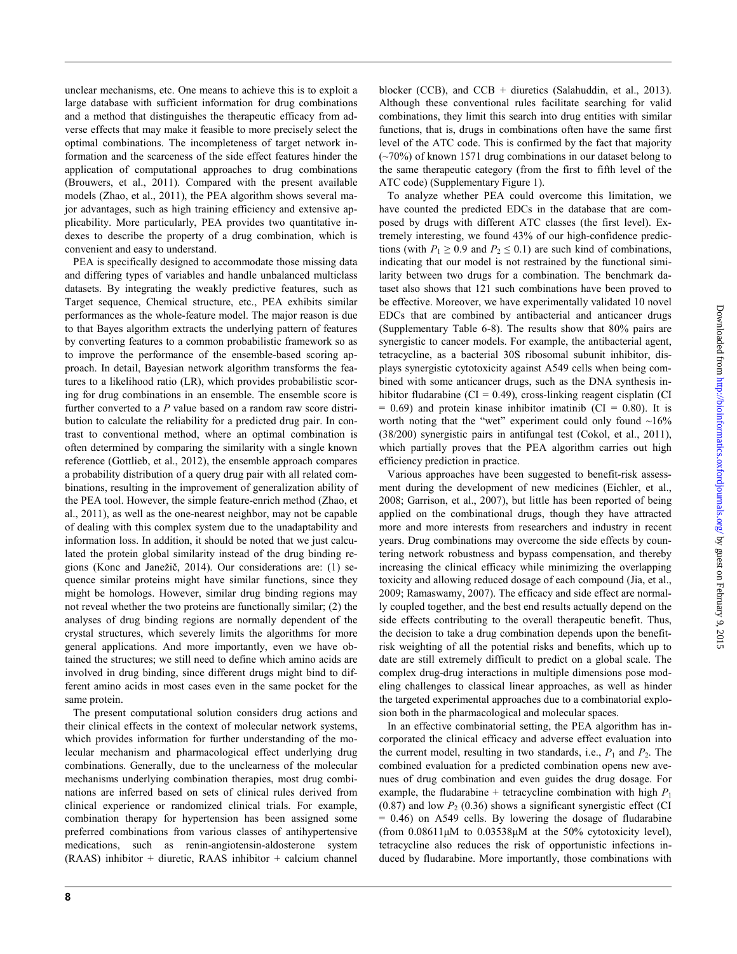unclear mechanisms, etc. One means to achieve this is to exploit a large database with sufficient information for drug combinations and a method that distinguishes the therapeutic efficacy from adverse effects that may make it feasible to more precisely select the optimal combinations. The incompleteness of target network information and the scarceness of the side effect features hinder the application of computational approaches to drug combinations (Brouwers, et al., 2011). Compared with the present available models (Zhao, et al., 2011), the PEA algorithm shows several major advantages, such as high training efficiency and extensive applicability. More particularly, PEA provides two quantitative indexes to describe the property of a drug combination, which is convenient and easy to understand.

PEA is specifically designed to accommodate those missing data and differing types of variables and handle unbalanced multiclass datasets. By integrating the weakly predictive features, such as Target sequence, Chemical structure, etc., PEA exhibits similar performances as the whole-feature model. The major reason is due to that Bayes algorithm extracts the underlying pattern of features by converting features to a common probabilistic framework so as to improve the performance of the ensemble-based scoring approach. In detail, Bayesian network algorithm transforms the features to a likelihood ratio (LR), which provides probabilistic scoring for drug combinations in an ensemble. The ensemble score is further converted to a *P* value based on a random raw score distribution to calculate the reliability for a predicted drug pair. In contrast to conventional method, where an optimal combination is often determined by comparing the similarity with a single known reference (Gottlieb, et al., 2012), the ensemble approach compares a probability distribution of a query drug pair with all related combinations, resulting in the improvement of generalization ability of the PEA tool. However, the simple feature-enrich method (Zhao, et al., 2011), as well as the one-nearest neighbor, may not be capable of dealing with this complex system due to the unadaptability and information loss. In addition, it should be noted that we just calculated the protein global similarity instead of the drug binding regions (Konc and Janežič, 2014). Our considerations are: (1) sequence similar proteins might have similar functions, since they might be homologs. However, similar drug binding regions may not reveal whether the two proteins are functionally similar; (2) the analyses of drug binding regions are normally dependent of the crystal structures, which severely limits the algorithms for more general applications. And more importantly, even we have obtained the structures; we still need to define which amino acids are involved in drug binding, since different drugs might bind to different amino acids in most cases even in the same pocket for the same protein.

The present computational solution considers drug actions and their clinical effects in the context of molecular network systems, which provides information for further understanding of the molecular mechanism and pharmacological effect underlying drug combinations. Generally, due to the unclearness of the molecular mechanisms underlying combination therapies, most drug combinations are inferred based on sets of clinical rules derived from clinical experience or randomized clinical trials. For example, combination therapy for hypertension has been assigned some preferred combinations from various classes of antihypertensive medications, such as renin-angiotensin-aldosterone system  $(RAAS)$  inhibitor + diuretic, RAAS inhibitor + calcium channel blocker (CCB), and CCB + diuretics (Salahuddin, et al., 2013). Although these conventional rules facilitate searching for valid combinations, they limit this search into drug entities with similar functions, that is, drugs in combinations often have the same first level of the ATC code. This is confirmed by the fact that majority (~70%) of known 1571 drug combinations in our dataset belong to the same therapeutic category (from the first to fifth level of the ATC code) (Supplementary Figure 1).

To analyze whether PEA could overcome this limitation, we have counted the predicted EDCs in the database that are composed by drugs with different ATC classes (the first level). Extremely interesting, we found 43% of our high-confidence predictions (with  $P_1 \ge 0.9$  and  $P_2 \le 0.1$ ) are such kind of combinations, indicating that our model is not restrained by the functional similarity between two drugs for a combination. The benchmark dataset also shows that 121 such combinations have been proved to be effective. Moreover, we have experimentally validated 10 novel EDCs that are combined by antibacterial and anticancer drugs (Supplementary Table 6-8). The results show that 80% pairs are synergistic to cancer models. For example, the antibacterial agent, tetracycline, as a bacterial 30S ribosomal subunit inhibitor, displays synergistic cytotoxicity against A549 cells when being combined with some anticancer drugs, such as the DNA synthesis inhibitor fludarabine (CI =  $0.49$ ), cross-linking reagent cisplatin (CI  $= 0.69$ ) and protein kinase inhibitor imatinib (CI  $= 0.80$ ). It is worth noting that the "wet" experiment could only found  $~16\%$ (38/200) synergistic pairs in antifungal test (Cokol, et al., 2011), which partially proves that the PEA algorithm carries out high efficiency prediction in practice.

Various approaches have been suggested to benefit-risk assessment during the development of new medicines (Eichler, et al., 2008; Garrison, et al., 2007), but little has been reported of being applied on the combinational drugs, though they have attracted more and more interests from researchers and industry in recent years. Drug combinations may overcome the side effects by countering network robustness and bypass compensation, and thereby increasing the clinical efficacy while minimizing the overlapping toxicity and allowing reduced dosage of each compound (Jia, et al., 2009; Ramaswamy, 2007). The efficacy and side effect are normally coupled together, and the best end results actually depend on the side effects contributing to the overall therapeutic benefit. Thus, the decision to take a drug combination depends upon the benefitrisk weighting of all the potential risks and benefits, which up to date are still extremely difficult to predict on a global scale. The complex drug-drug interactions in multiple dimensions pose modeling challenges to classical linear approaches, as well as hinder the targeted experimental approaches due to a combinatorial explosion both in the pharmacological and molecular spaces.

In an effective combinatorial setting, the PEA algorithm has incorporated the clinical efficacy and adverse effect evaluation into the current model, resulting in two standards, i.e.,  $P_1$  and  $P_2$ . The combined evaluation for a predicted combination opens new avenues of drug combination and even guides the drug dosage. For example, the fludarabine + tetracycline combination with high  $P_1$  $(0.87)$  and low  $P_2$  (0.36) shows a significant synergistic effect (CI  $= 0.46$ ) on A549 cells. By lowering the dosage of fludarabine (from  $0.08611\mu$ M to  $0.03538\mu$ M at the 50% cytotoxicity level), tetracycline also reduces the risk of opportunistic infections induced by fludarabine. More importantly, those combinations with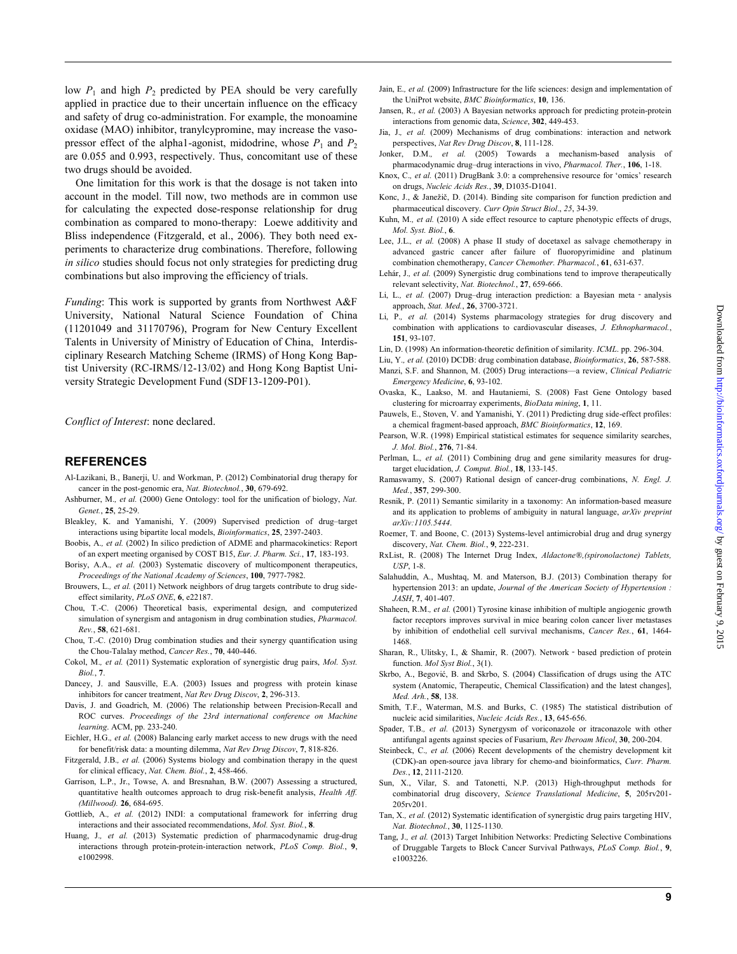low  $P_1$  and high  $P_2$  predicted by PEA should be very carefully applied in practice due to their uncertain influence on the efficacy and safety of drug co-administration. For example, the monoamine oxidase (MAO) inhibitor, tranylcypromine, may increase the vasopressor effect of the alpha1-agonist, midodrine, whose  $P_1$  and  $P_2$ are 0.055 and 0.993, respectively. Thus, concomitant use of these two drugs should be avoided.

One limitation for this work is that the dosage is not taken into account in the model. Till now, two methods are in common use for calculating the expected dose-response relationship for drug combination as compared to mono-therapy: Loewe additivity and Bliss independence (Fitzgerald, et al., 2006). They both need experiments to characterize drug combinations. Therefore, following *in silico* studies should focus not only strategies for predicting drug combinations but also improving the efficiency of trials.

*Funding*: This work is supported by grants from Northwest A&F University, National Natural Science Foundation of China (11201049 and 31170796), Program for New Century Excellent Talents in University of Ministry of Education of China, Interdisciplinary Research Matching Scheme (IRMS) of Hong Kong Baptist University (RC-IRMS/12-13/02) and Hong Kong Baptist University Strategic Development Fund (SDF13-1209-P01).

*Conflict of Interest*: none declared.

#### **REFERENCES**

- Al-Lazikani, B., Banerji, U. and Workman, P. (2012) Combinatorial drug therapy for cancer in the post-genomic era, *Nat. Biotechnol.*, **30**, 679-692.
- Ashburner, M.*, et al.* (2000) Gene Ontology: tool for the unification of biology, *Nat. Genet.*, **25**, 25-29.
- Bleakley, K. and Yamanishi, Y. (2009) Supervised prediction of drug–target interactions using bipartite local models, *Bioinformatics*, **25**, 2397-2403.
- Boobis, A.*, et al.* (2002) In silico prediction of ADME and pharmacokinetics: Report of an expert meeting organised by COST B15, *Eur. J. Pharm. Sci.*, **17**, 183-193.
- Borisy, A.A.*, et al.* (2003) Systematic discovery of multicomponent therapeutics, *Proceedings of the National Academy of Sciences*, **100**, 7977-7982.
- Brouwers, L.*, et al.* (2011) Network neighbors of drug targets contribute to drug sideeffect similarity, *PLoS ONE*, **6**, e22187.
- Chou, T.-C. (2006) Theoretical basis, experimental design, and computerized simulation of synergism and antagonism in drug combination studies, *Pharmacol. Rev.*, **58**, 621-681.
- Chou, T.-C. (2010) Drug combination studies and their synergy quantification using the Chou-Talalay method, *Cancer Res.*, **70**, 440-446.
- Cokol, M.*, et al.* (2011) Systematic exploration of synergistic drug pairs, *Mol. Syst. Biol.*, **7**.
- Dancey, J. and Sausville, E.A. (2003) Issues and progress with protein kinase inhibitors for cancer treatment, *Nat Rev Drug Discov*, **2**, 296-313.
- Davis, J. and Goadrich, M. (2006) The relationship between Precision-Recall and ROC curves. *Proceedings of the 23rd international conference on Machine learning*. ACM, pp. 233-240.
- Eichler, H.G.*, et al.* (2008) Balancing early market access to new drugs with the need for benefit/risk data: a mounting dilemma, *Nat Rev Drug Discov*, **7**, 818-826.
- Fitzgerald, J.B.*, et al.* (2006) Systems biology and combination therapy in the quest for clinical efficacy, *Nat. Chem. Biol.*, **2**, 458-466.
- Garrison, L.P., Jr., Towse, A. and Bresnahan, B.W. (2007) Assessing a structured, quantitative health outcomes approach to drug risk-benefit analysis, *Health Aff. (Millwood).* **26**, 684-695.
- Gottlieb, A.*, et al.* (2012) INDI: a computational framework for inferring drug interactions and their associated recommendations, *Mol. Syst. Biol.*, **8**.
- Huang, J.*, et al.* (2013) Systematic prediction of pharmacodynamic drug-drug interactions through protein-protein-interaction network, *PLoS Comp. Biol.*, **9**, e1002998.
- Jain, E.*, et al.* (2009) Infrastructure for the life sciences: design and implementation of the UniProt website, *BMC Bioinformatics*, **10**, 136.
- Jansen, R.*, et al.* (2003) A Bayesian networks approach for predicting protein-protein interactions from genomic data, *Science*, **302**, 449-453.
- Jia, J.*, et al.* (2009) Mechanisms of drug combinations: interaction and network perspectives, *Nat Rev Drug Discov*, **8**, 111-128.
- Jonker, D.M.*, et al.* (2005) Towards a mechanism-based analysis of pharmacodynamic drug–drug interactions in vivo, *Pharmacol. Ther.*, **106**, 1-18.
- Knox, C.*, et al.* (2011) DrugBank 3.0: a comprehensive resource for 'omics' research on drugs, *Nucleic Acids Res.*, **39**, D1035-D1041.
- Konc, J., & Janežič, D. (2014). Binding site comparison for function prediction and pharmaceutical discovery. *Curr Opin Struct Biol*., *25*, 34-39.
- Kuhn, M., et al. (2010) A side effect resource to capture phenotypic effects of drugs, *Mol. Syst. Biol.*, **6**.
- Lee, J.L.*, et al.* (2008) A phase II study of docetaxel as salvage chemotherapy in advanced gastric cancer after failure of fluoropyrimidine and platinum combination chemotherapy, *Cancer Chemother. Pharmacol.*, **61**, 631-637.
- Lehár, J.*, et al.* (2009) Synergistic drug combinations tend to improve therapeutically relevant selectivity, *Nat. Biotechnol.*, **27**, 659-666.
- Li, L., et al. (2007) Drug-drug interaction prediction: a Bayesian meta analysis approach, *Stat. Med.*, **26**, 3700-3721.
- Li, P.*, et al.* (2014) Systems pharmacology strategies for drug discovery and combination with applications to cardiovascular diseases, *J. Ethnopharmacol.*, **151**, 93-107.
- Lin, D. (1998) An information-theoretic definition of similarity. *ICML*. pp. 296-304.
- Liu, Y.*, et al.* (2010) DCDB: drug combination database, *Bioinformatics*, **26**, 587-588.
- Manzi, S.F. and Shannon, M. (2005) Drug interactions—a review, *Clinical Pediatric Emergency Medicine*, **6**, 93-102.
- Ovaska, K., Laakso, M. and Hautaniemi, S. (2008) Fast Gene Ontology based clustering for microarray experiments, *BioData mining*, **1**, 11.
- Pauwels, E., Stoven, V. and Yamanishi, Y. (2011) Predicting drug side-effect profiles: a chemical fragment-based approach, *BMC Bioinformatics*, **12**, 169.
- Pearson, W.R. (1998) Empirical statistical estimates for sequence similarity searches, *J. Mol. Biol.*, **276**, 71-84.
- Perlman, L., et al. (2011) Combining drug and gene similarity measures for drugtarget elucidation, *J. Comput. Biol.*, **18**, 133-145.
- Ramaswamy, S. (2007) Rational design of cancer-drug combinations, *N. Engl. J. Med.*, **357**, 299-300.
- Resnik, P. (2011) Semantic similarity in a taxonomy: An information-based measure and its application to problems of ambiguity in natural language, *arXiv preprint arXiv:1105.5444*.
- Roemer, T. and Boone, C. (2013) Systems-level antimicrobial drug and drug synergy discovery, *Nat. Chem. Biol.*, **9**, 222-231.
- RxList, R. (2008) The Internet Drug Index, *Aldactone®,(spironolactone) Tablets, USP*, 1-8.
- Salahuddin, A., Mushtaq, M. and Materson, B.J. (2013) Combination therapy for hypertension 2013: an update, *Journal of the American Society of Hypertension : JASH*, **7**, 401-407.
- Shaheen, R.M.*, et al.* (2001) Tyrosine kinase inhibition of multiple angiogenic growth factor receptors improves survival in mice bearing colon cancer liver metastases by inhibition of endothelial cell survival mechanisms, *Cancer Res.*, **61**, 1464- 1468.
- Sharan, R., Ulitsky, I., & Shamir, R. (2007). Network based prediction of protein function. *Mol Syst Biol.*, 3(1).
- Skrbo, A., Begović, B. and Skrbo, S. (2004) Classification of drugs using the ATC system (Anatomic, Therapeutic, Chemical Classification) and the latest changes], *Med. Arh.*, **58**, 138.
- Smith, T.F., Waterman, M.S. and Burks, C. (1985) The statistical distribution of nucleic acid similarities, *Nucleic Acids Res.*, **13**, 645-656.
- Spader, T.B.*, et al.* (2013) Synergysm of voriconazole or itraconazole with other antifungal agents against species of Fusarium, *Rev Iberoam Micol*, **30**, 200-204.
- Steinbeck, C.*, et al.* (2006) Recent developments of the chemistry development kit (CDK)-an open-source java library for chemo-and bioinformatics, *Curr. Pharm. Des.*, **12**, 2111-2120.
- Sun, X., Vilar, S. and Tatonetti, N.P. (2013) High-throughput methods for combinatorial drug discovery, *Science Translational Medicine*, **5**, 205rv201- 205rv201.
- Tan, X.*, et al.* (2012) Systematic identification of synergistic drug pairs targeting HIV, *Nat. Biotechnol.*, **30**, 1125-1130.
- Tang, J.*, et al.* (2013) Target Inhibition Networks: Predicting Selective Combinations of Druggable Targets to Block Cancer Survival Pathways, *PLoS Comp. Biol.*, **9**, e1003226.